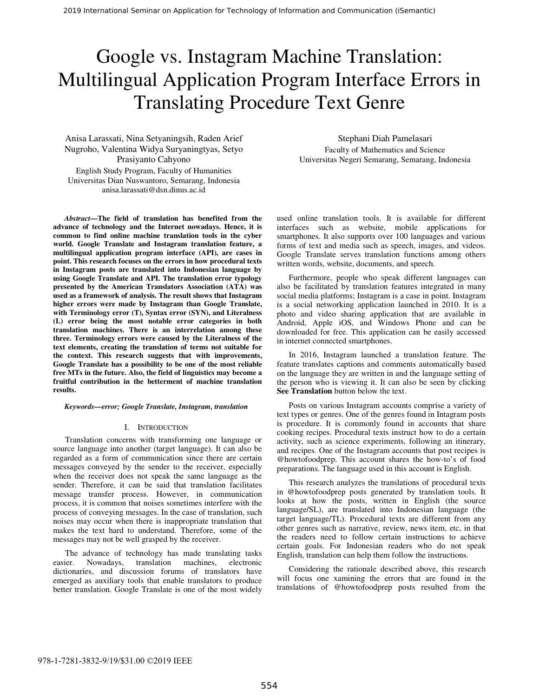# Google vs. Instagram Machine Translation: Multilingual Application Program Interface Errors in Translating Procedure Text Genre

Anisa Larassati, Nina Setyaningsih, Raden Arief Nugroho, Valentina Widya Suryaningtyas, Setyo Prasiyanto Cahyono English Study Program, Faculty of Humanities Universitas Dian Nuswantoro, Semarang, Indonesia anisa.larassati@dsn.dinus.ac.id

*Abstract***—The field of translation has benefited from the advance of technology and the Internet nowadays. Hence, it is common to find online machine translation tools in the cyber world. Google Translate and Instagram translation feature, a multilingual application program interface (API), are cases in point. This research focuses on the errors in how procedural texts in Instagram posts are translated into Indonesian language by using Google Translate and API. The translation error typology presented by the American Translators Association (ATA) was used as a framework of analysis. The result shows that Instagram higher errors were made by Instagram than Google Translate, with Terminology error (T), Syntax error (SYN), and Literalness (L) error being the most notable error categories in both translation machines. There is an interrelation among these three. Terminology errors were caused by the Literalness of the text elements, creating the translation of terms not suitable for the context. This research suggests that with improvements, Google Translate has a possibility to be one of the most reliable free MTs in the future. Also, the field of linguistics may become a fruitful contribution in the betterment of machine translation results.** 

#### *Keywords—error; Google Translate, Instagram, translation*

#### I. INTRODUCTION

Translation concerns with transforming one language or source language into another (target language). It can also be regarded as a form of communication since there are certain messages conveyed by the sender to the receiver, especially when the receiver does not speak the same language as the sender. Therefore, it can be said that translation facilitates message transfer process. However, in communication process, it is common that noises sometimes interfere with the process of conveying messages. In the case of translation, such noises may occur when there is inappropriate translation that makes the text hard to understand. Therefore, some of the messages may not be well grasped by the receiver.

The advance of technology has made translating tasks easier. Nowadays, translation machines, electronic dictionaries, and discussion forums of translators have emerged as auxiliary tools that enable translators to produce better translation. Google Translate is one of the most widely

Stephani Diah Pamelasari Faculty of Mathematics and Science Universitas Negeri Semarang, Semarang, Indonesia

used online translation tools. It is available for different interfaces such as website, mobile applications for smartphones. It also supports over 100 languages and various forms of text and media such as speech, images, and videos. Google Translate serves translation functions among others written words, website, documents, and speech.

Furthermore, people who speak different languages can also be facilitated by translation features integrated in many social media platforms; Instagram is a case in point. Instagram is a social networking application launched in 2010. It is a photo and video sharing application that are available in Android, Apple iOS, and Windows Phone and can be downloaded for free. This application can be easily accessed in internet connected smartphones.

In 2016, Instagram launched a translation feature. The feature translates captions and comments automatically based on the language they are written in and the language setting of the person who is viewing it. It can also be seen by clicking **See Translation** button below the text.

Posts on various Instagram accounts comprise a variety of text types or genres. One of the genres found in Intagram posts is procedure. It is commonly found in accounts that share cooking recipes. Procedural texts instruct how to do a certain activity, such as science experiments, following an itinerary, and recipes. One of the Instagram accounts that post recipes is @howtofoodprep. This account shares the how-to's of food preparations. The language used in this account is English.

This research analyzes the translations of procedural texts in @howtofoodprep posts generated by translation tools. It looks at how the posts, written in English (the source language/SL), are translated into Indonesian language (the target language/TL). Procedural texts are different from any other genres such as narrative, review, news item, etc, in that the readers need to follow certain instructions to achieve certain goals. For Indonesian readers who do not speak English, translation can help them follow the instructions.

Considering the rationale described above, this research will focus one xamining the errors that are found in the translations of @howtofoodprep posts resulted from the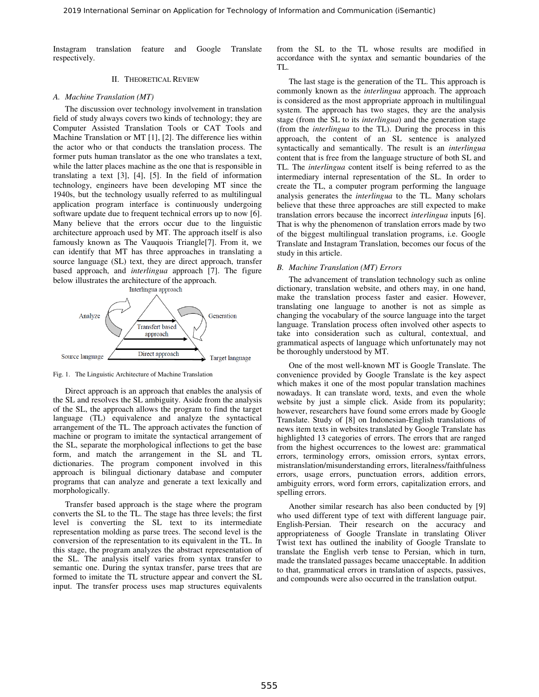Instagram translation feature and Google Translate respectively.

### II. THEORETICAL REVIEW

## *A. Machine Translation (MT)*

The discussion over technology involvement in translation field of study always covers two kinds of technology; they are Computer Assisted Translation Tools or CAT Tools and Machine Translation or MT [1], [2]. The difference lies within the actor who or that conducts the translation process. The former puts human translator as the one who translates a text, while the latter places machine as the one that is responsible in translating a text [3], [4], [5]. In the field of information technology, engineers have been developing MT since the 1940s, but the technology usually referred to as multilingual application program interface is continuously undergoing software update due to frequent technical errors up to now [6]. Many believe that the errors occur due to the linguistic architecture approach used by MT. The approach itself is also famously known as The Vauquois Triangle[7]. From it, we can identify that MT has three approaches in translating a source language (SL) text, they are direct approach, transfer based approach, and *interlingua* approach [7]. The figure below illustrates the architecture of the approach.



Fig. 1. The Linguistic Architecture of Machine Translation

Direct approach is an approach that enables the analysis of the SL and resolves the SL ambiguity. Aside from the analysis of the SL, the approach allows the program to find the target language (TL) equivalence and analyze the syntactical arrangement of the TL. The approach activates the function of machine or program to imitate the syntactical arrangement of the SL, separate the morphological inflections to get the base form, and match the arrangement in the SL and TL dictionaries. The program component involved in this approach is bilingual dictionary database and computer programs that can analyze and generate a text lexically and morphologically.

 Transfer based approach is the stage where the program converts the SL to the TL. The stage has three levels; the first level is converting the SL text to its intermediate representation molding as parse trees. The second level is the conversion of the representation to its equivalent in the TL. In this stage, the program analyzes the abstract representation of the SL. The analysis itself varies from syntax transfer to semantic one. During the syntax transfer, parse trees that are formed to imitate the TL structure appear and convert the SL input. The transfer process uses map structures equivalents

from the SL to the TL whose results are modified in accordance with the syntax and semantic boundaries of the TL.

The last stage is the generation of the TL. This approach is commonly known as the *interlingua* approach. The approach is considered as the most appropriate approach in multilingual system. The approach has two stages, they are the analysis stage (from the SL to its *interlingua*) and the generation stage (from the *interlingua* to the TL). During the process in this approach, the content of an SL sentence is analyzed syntactically and semantically. The result is an *interlingua* content that is free from the language structure of both SL and TL. The *interlingua* content itself is being referred to as the intermediary internal representation of the SL. In order to create the TL, a computer program performing the language analysis generates the *interlingua* to the TL. Many scholars believe that these three approaches are still expected to make translation errors because the incorrect *interlingua* inputs [6]. That is why the phenomenon of translation errors made by two of the biggest multilingual translation programs, i.e. Google Translate and Instagram Translation, becomes our focus of the study in this article.

#### *B. Machine Translation (MT) Errors*

The advancement of translation technology such as online dictionary, translation website, and others may, in one hand, make the translation process faster and easier. However, translating one language to another is not as simple as changing the vocabulary of the source language into the target language. Translation process often involved other aspects to take into consideration such as cultural, contextual, and grammatical aspects of language which unfortunately may not be thoroughly understood by MT.

One of the most well-known MT is Google Translate. The convenience provided by Google Translate is the key aspect which makes it one of the most popular translation machines nowadays. It can translate word, texts, and even the whole website by just a simple click. Aside from its popularity; however, researchers have found some errors made by Google Translate. Study of [8] on Indonesian-English translations of news item texts in websites translated by Google Translate has highlighted 13 categories of errors. The errors that are ranged from the highest occurrences to the lowest are: grammatical errors, terminology errors, omission errors, syntax errors, mistranslation/misunderstanding errors, literalness/faithfulness errors, usage errors, punctuation errors, addition errors, ambiguity errors, word form errors, capitalization errors, and spelling errors.

Another similar research has also been conducted by [9] who used different type of text with different language pair, English-Persian. Their research on the accuracy and appropriateness of Google Translate in translating Oliver Twist text has outlined the inability of Google Translate to translate the English verb tense to Persian, which in turn, made the translated passages became unacceptable. In addition to that, grammatical errors in translation of aspects, passives, and compounds were also occurred in the translation output.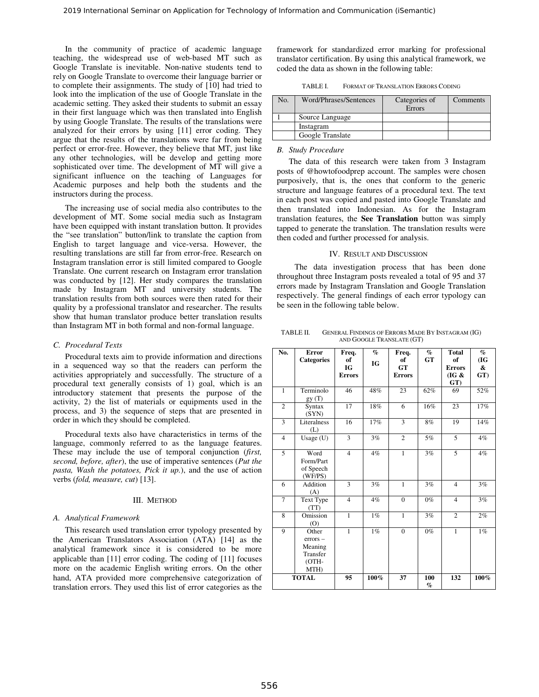In the community of practice of academic language teaching, the widespread use of web-based MT such as Google Translate is inevitable. Non-native students tend to rely on Google Translate to overcome their language barrier or to complete their assignments. The study of [10] had tried to look into the implication of the use of Google Translate in the academic setting. They asked their students to submit an essay in their first language which was then translated into English by using Google Translate. The results of the translations were analyzed for their errors by using [11] error coding. They argue that the results of the translations were far from being perfect or error-free. However, they believe that MT, just like any other technologies, will be develop and getting more sophisticated over time. The development of MT will give a significant influence on the teaching of Languages for Academic purposes and help both the students and the instructors during the process.

The increasing use of social media also contributes to the development of MT. Some social media such as Instagram have been equipped with instant translation button. It provides the "see translation" button/link to translate the caption from English to target language and vice-versa. However, the resulting translations are still far from error-free. Research on Instagram translation error is still limited compared to Google Translate. One current research on Instagram error translation was conducted by [12]. Her study compares the translation made by Instagram MT and university students. The translation results from both sources were then rated for their quality by a professional translator and researcher. The results show that human translator produce better translation results than Instagram MT in both formal and non-formal language.

#### *C. Procedural Texts*

Procedural texts aim to provide information and directions in a sequenced way so that the readers can perform the activities appropriately and successfully. The structure of a procedural text generally consists of 1) goal, which is an introductory statement that presents the purpose of the activity, 2) the list of materials or equipments used in the process, and 3) the sequence of steps that are presented in order in which they should be completed.

Procedural texts also have characteristics in terms of the language, commonly referred to as the language features. These may include the use of temporal conjunction (*first, second, before, after*), the use of imperative sentences (*Put the pasta, Wash the potatoes, Pick it up.*), and the use of action verbs (*fold, measure, cut*) [13].

## III. METHOD

#### *A. Analytical Framework*

This research used translation error typology presented by the American Translators Association (ATA) [14] as the analytical framework since it is considered to be more applicable than [11] error coding. The coding of [11] focuses more on the academic English writing errors. On the other hand, ATA provided more comprehensive categorization of translation errors. They used this list of error categories as the framework for standardized error marking for professional translator certification. By using this analytical framework, we coded the data as shown in the following table:

TABLE I. FORMAT OF TRANSLATION ERRORS CODING

| No. | Word/Phrases/Sentences | Categories of<br>Errors | Comments |
|-----|------------------------|-------------------------|----------|
|     | Source Language        |                         |          |
|     | Instagram              |                         |          |
|     | Google Translate       |                         |          |

#### *B. Study Procedure*

The data of this research were taken from 3 Instagram posts of @howtofoodprep account. The samples were chosen purposively, that is, the ones that conform to the generic structure and language features of a procedural text. The text in each post was copied and pasted into Google Translate and then translated into Indonesian. As for the Instagram translation features, the **See Translation** button was simply tapped to generate the translation. The translation results were then coded and further processed for analysis.

## IV. RESULT AND DISCUSSION

The data investigation process that has been done throughout three Instagram posts revealed a total of 95 and 37 errors made by Instagram Translation and Google Translation respectively. The general findings of each error typology can be seen in the following table below.

TABLE II. GENERAL FINDINGS OF ERRORS MADE BY INSTAGRAM (IG) AND GOOGLE TRANSLATE (GT)

| No.            | <b>Error</b>      | Freq.          | $\%$      | Freq.          | $\mathcal{G}_0$ | <b>Total</b>   | $\mathcal{G}_0$ |
|----------------|-------------------|----------------|-----------|----------------|-----------------|----------------|-----------------|
|                | <b>Categories</b> | of             |           | of             | <b>GT</b>       | of             | (IG             |
|                |                   | <b>IG</b>      | <b>IG</b> | GT             |                 | <b>Errors</b>  | &               |
|                |                   | <b>Errors</b>  |           | <b>Errors</b>  |                 | (IG &          | GT)             |
|                |                   |                |           |                |                 | GT             |                 |
| $\mathbf{1}$   | Terminolo         | 46             | 48%       | 23             | 62%             | 69             | 52%             |
|                |                   |                |           |                |                 |                |                 |
|                | gy(T)             |                |           |                |                 |                |                 |
| $\overline{2}$ | Syntax            | 17             | 18%       | 6              | 16%             | 23             | 17%             |
|                | (SYN)             |                |           |                |                 |                |                 |
| 3              | Literalness       | 16             | 17%       | 3              | 8%              | 19             | 14%             |
|                | (L)               |                |           |                |                 |                |                 |
| $\overline{4}$ | Usage $(U)$       | 3              | 3%        | $\overline{2}$ | 5%              | 5              | 4%              |
|                |                   |                |           |                |                 |                |                 |
| 5              | Word              | $\overline{4}$ | 4%        | $\mathbf{1}$   | 3%              | 5              | 4%              |
|                | Form/Part         |                |           |                |                 |                |                 |
|                | of Speech         |                |           |                |                 |                |                 |
|                | (WF/PS)           |                |           |                |                 |                |                 |
| 6              | Addition          | 3              | 3%        | $\mathbf{1}$   | 3%              | $\overline{4}$ | 3%              |
|                | (A)               |                |           |                |                 |                |                 |
| $\overline{7}$ | Text Type         | $\overline{4}$ | 4%        | $\mathbf{0}$   | $0\%$           | $\overline{4}$ | 3%              |
|                | (TT)              |                |           |                |                 |                |                 |
| 8              | Omission          | $\mathbf{1}$   | 1%        | $\mathbf{1}$   | 3%              | $\overline{c}$ | 2%              |
|                | (O)               |                |           |                |                 |                |                 |
| 9              | Other             | $\mathbf{1}$   | 1%        | $\theta$       | $0\%$           | $\mathbf{1}$   | 1%              |
|                | $errors-$         |                |           |                |                 |                |                 |
|                | Meaning           |                |           |                |                 |                |                 |
|                | Transfer          |                |           |                |                 |                |                 |
|                | (OTH-             |                |           |                |                 |                |                 |
|                | MTH)              |                |           |                |                 |                |                 |
| <b>TOTAL</b>   |                   | 95             | 100%      | 37             | 100             | 132            | 100%            |
|                |                   |                |           |                | $\%$            |                |                 |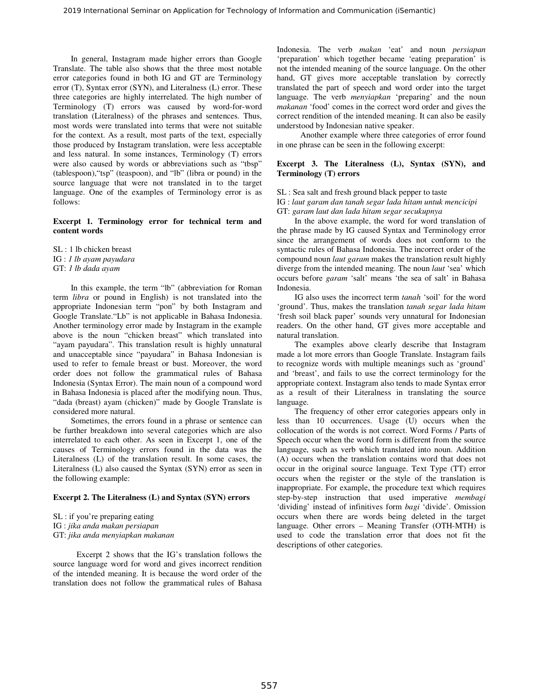In general, Instagram made higher errors than Google Translate. The table also shows that the three most notable error categories found in both IG and GT are Terminology error (T), Syntax error (SYN), and Literalness (L) error. These three categories are highly interrelated. The high number of Terminology (T) errors was caused by word-for-word translation (Literalness) of the phrases and sentences. Thus, most words were translated into terms that were not suitable for the context. As a result, most parts of the text, especially those produced by Instagram translation, were less acceptable and less natural. In some instances, Terminology (T) errors were also caused by words or abbreviations such as "tbsp" (tablespoon),"tsp" (teaspoon), and "lb" (libra or pound) in the source language that were not translated in to the target language. One of the examples of Terminology error is as follows:

# **Excerpt 1. Terminology error for technical term and content words**

SL : 1 lb chicken breast IG : *1 lb ayam payudara* GT: *1 lb dada ayam*

In this example, the term "lb" (abbreviation for Roman term *libra* or pound in English) is not translated into the appropriate Indonesian term "pon" by both Instagram and Google Translate."Lb" is not applicable in Bahasa Indonesia. Another terminology error made by Instagram in the example above is the noun "chicken breast" which translated into "ayam payudara". This translation result is highly unnatural and unacceptable since "payudara" in Bahasa Indonesian is used to refer to female breast or bust. Moreover, the word order does not follow the grammatical rules of Bahasa Indonesia (Syntax Error). The main noun of a compound word in Bahasa Indonesia is placed after the modifying noun. Thus, "dada (breast) ayam (chicken)" made by Google Translate is considered more natural.

 Sometimes, the errors found in a phrase or sentence can be further breakdown into several categories which are also interrelated to each other. As seen in Excerpt 1, one of the causes of Terminology errors found in the data was the Literalness (L) of the translation result. In some cases, the Literalness (L) also caused the Syntax (SYN) error as seen in the following example:

## **Excerpt 2. The Literalness (L) and Syntax (SYN) errors**

SL : if you're preparing eating IG : *jika anda makan persiapan*

GT: *jika anda menyiapkan makanan* 

Excerpt 2 shows that the IG's translation follows the source language word for word and gives incorrect rendition of the intended meaning. It is because the word order of the translation does not follow the grammatical rules of Bahasa Indonesia. The verb *makan* 'eat' and noun *persiapan*  'preparation' which together became 'eating preparation' is not the intended meaning of the source language. On the other hand, GT gives more acceptable translation by correctly translated the part of speech and word order into the target language. The verb *menyiapkan* 'preparing' and the noun *makanan* 'food' comes in the correct word order and gives the correct rendition of the intended meaning. It can also be easily understood by Indonesian native speaker.

Another example where three categories of error found in one phrase can be seen in the following excerpt:

## **Excerpt 3. The Literalness (L), Syntax (SYN), and Terminology (T) errors**

- SL : Sea salt and fresh ground black pepper to taste
- IG : *laut garam dan tanah segar lada hitam untuk mencicipi*
- GT: *garam laut dan lada hitam segar secukupnya*

In the above example, the word for word translation of the phrase made by IG caused Syntax and Terminology error since the arrangement of words does not conform to the syntactic rules of Bahasa Indonesia. The incorrect order of the compound noun *laut garam* makes the translation result highly diverge from the intended meaning. The noun *laut* 'sea' which occurs before *garam* 'salt' means 'the sea of salt' in Bahasa Indonesia.

 IG also uses the incorrect term *tanah* 'soil' for the word 'ground'. Thus, makes the translation *tanah segar lada hitam* 'fresh soil black paper' sounds very unnatural for Indonesian readers. On the other hand, GT gives more acceptable and natural translation.

 The examples above clearly describe that Instagram made a lot more errors than Google Translate. Instagram fails to recognize words with multiple meanings such as 'ground' and 'breast', and fails to use the correct terminology for the appropriate context. Instagram also tends to made Syntax error as a result of their Literalness in translating the source language.

 The frequency of other error categories appears only in less than 10 occurrences. Usage (U) occurs when the collocation of the words is not correct. Word Forms / Parts of Speech occur when the word form is different from the source language, such as verb which translated into noun. Addition (A) occurs when the translation contains word that does not occur in the original source language. Text Type (TT) error occurs when the register or the style of the translation is inappropriate. For example, the procedure text which requires step-by-step instruction that used imperative *membagi* 'dividing' instead of infinitives form *bagi* 'divide'. Omission occurs when there are words being deleted in the target language. Other errors – Meaning Transfer (OTH-MTH) is used to code the translation error that does not fit the descriptions of other categories.